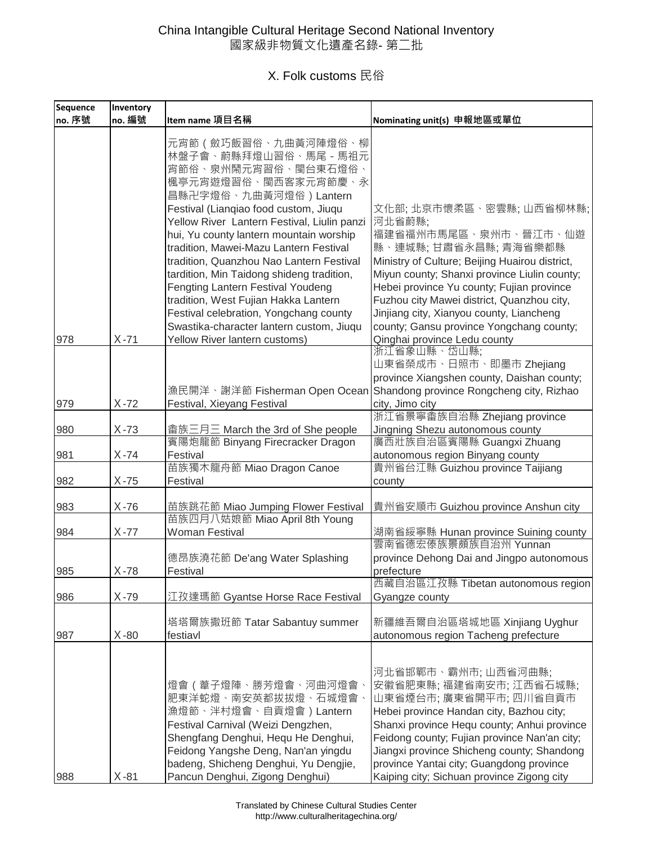| Sequence | Inventory |                                                                                                                                                                                                                                                                                                                                                                                                                                                                                                                                                                |                                                                                                                                                                                                                                                                                                                                                                        |
|----------|-----------|----------------------------------------------------------------------------------------------------------------------------------------------------------------------------------------------------------------------------------------------------------------------------------------------------------------------------------------------------------------------------------------------------------------------------------------------------------------------------------------------------------------------------------------------------------------|------------------------------------------------------------------------------------------------------------------------------------------------------------------------------------------------------------------------------------------------------------------------------------------------------------------------------------------------------------------------|
| no. 序號   | no. 編號    | Item name 項目名稱                                                                                                                                                                                                                                                                                                                                                                                                                                                                                                                                                 | Nominating unit(s) 申報地區或單位                                                                                                                                                                                                                                                                                                                                             |
|          |           | 元宵節 ( 斂巧飯習俗、九曲黃河陣燈俗、柳<br>林盤子會、蔚縣拜燈山習俗、馬尾 - 馬祖元<br>宵節俗、泉州鬧元宵習俗、閩台東石燈俗、<br>楓亭元宵遊燈習俗、閩西客家元宵節慶、永<br>昌縣卍字燈俗、九曲黃河燈俗)Lantern<br>Festival (Lianqiao food custom, Jiuqu<br>Yellow River Lantern Festival, Liulin panzi<br>hui, Yu county lantern mountain worship<br>tradition, Mawei-Mazu Lantern Festival<br>tradition, Quanzhou Nao Lantern Festival<br>tardition, Min Taidong shideng tradition,<br>Fengting Lantern Festival Youdeng<br>tradition, West Fujian Hakka Lantern<br>Festival celebration, Yongchang county<br>Swastika-character lantern custom, Jiuqu | 文化部; 北京市懷柔區、密雲縣; 山西省柳林縣;<br>河北省蔚縣;<br>福建省福州市馬尾區、泉州市、晉江市、仙遊<br>縣、連城縣;甘肅省永昌縣;青海省樂都縣<br>Ministry of Culture; Beijing Huairou district,<br>Miyun county; Shanxi province Liulin county;<br>Hebei province Yu county; Fujian province<br>Fuzhou city Mawei district, Quanzhou city,<br>Jinjiang city, Xianyou county, Liancheng<br>county; Gansu province Yongchang county; |
| 978      | $X - 71$  | Yellow River lantern customs)                                                                                                                                                                                                                                                                                                                                                                                                                                                                                                                                  | Qinghai province Ledu county                                                                                                                                                                                                                                                                                                                                           |
| 979      | $X - 72$  | 漁民開洋、謝洋節 Fisherman Open Ocean<br>Festival, Xieyang Festival                                                                                                                                                                                                                                                                                                                                                                                                                                                                                                    | 浙江省象山縣、岱山縣;<br>山東省榮成市、日照市、即墨市 Zhejiang<br>province Xiangshen county, Daishan county;<br>Shandong province Rongcheng city, Rizhao<br>city, Jimo city                                                                                                                                                                                                                    |
|          |           |                                                                                                                                                                                                                                                                                                                                                                                                                                                                                                                                                                | 浙江省景寧畬族自治縣 Zhejiang province                                                                                                                                                                                                                                                                                                                                           |
| 980      | $X - 73$  | 畲族三月三 March the 3rd of She people                                                                                                                                                                                                                                                                                                                                                                                                                                                                                                                              | Jingning Shezu autonomous county                                                                                                                                                                                                                                                                                                                                       |
| 981      | $X - 74$  | 賓陽炮龍節 Binyang Firecracker Dragon<br>Festival                                                                                                                                                                                                                                                                                                                                                                                                                                                                                                                   | 廣西壯族自治區賓陽縣 Guangxi Zhuang<br>autonomous region Binyang county                                                                                                                                                                                                                                                                                                          |
| 982      | $X - 75$  | 苗族獨木龍舟節 Miao Dragon Canoe<br>Festival                                                                                                                                                                                                                                                                                                                                                                                                                                                                                                                          | 貴州省台江縣 Guizhou province Taijiang<br>county                                                                                                                                                                                                                                                                                                                             |
| 983      | $X - 76$  | 苗族跳花節 Miao Jumping Flower Festival                                                                                                                                                                                                                                                                                                                                                                                                                                                                                                                             | 貴州省安順市 Guizhou province Anshun city                                                                                                                                                                                                                                                                                                                                    |
| 984      | $X - 77$  | 苗族四月八姑娘節 Miao April 8th Young<br><b>Woman Festival</b>                                                                                                                                                                                                                                                                                                                                                                                                                                                                                                         | 湖南省綏寧縣 Hunan province Suining county                                                                                                                                                                                                                                                                                                                                   |
| 985      | $X - 78$  | 德昂族澆花節 De'ang Water Splashing<br>Festival                                                                                                                                                                                                                                                                                                                                                                                                                                                                                                                      | 雲南省德宏傣族景頗族自治州 Yunnan<br>province Dehong Dai and Jingpo autonomous<br>prefecture                                                                                                                                                                                                                                                                                        |
| 986      | $X - 79$  | 江孜達瑪節 Gyantse Horse Race Festival                                                                                                                                                                                                                                                                                                                                                                                                                                                                                                                              | 西藏自治區江孜縣 Tibetan autonomous region<br>Gyangze county                                                                                                                                                                                                                                                                                                                   |
| 987      | $X-80$    | 塔塔爾族撒班節 Tatar Sabantuy summer<br>festiavl                                                                                                                                                                                                                                                                                                                                                                                                                                                                                                                      | 新疆維吾爾自治區塔城地區 Xinjiang Uyghur<br>autonomous region Tacheng prefecture                                                                                                                                                                                                                                                                                                   |
| 988      | $X-81$    | 燈會(葦子燈陣、勝芳燈會、河曲河燈會、<br>肥東洋蛇燈、南安英都拔拔燈、石城燈會、<br>漁燈節、泮村燈會、自貢燈會)Lantern<br>Festival Carnival (Weizi Dengzhen,<br>Shengfang Denghui, Hequ He Denghui,<br>Feidong Yangshe Deng, Nan'an yingdu<br>badeng, Shicheng Denghui, Yu Dengjie,<br>Pancun Denghui, Zigong Denghui)                                                                                                                                                                                                                                                                                            | 河北省邯鄲市、霸州市; 山西省河曲縣;<br>安徽省肥東縣;福建省南安市;江西省石城縣;<br>山東省煙台市;廣東省開平市;四川省自貢市<br>Hebei province Handan city, Bazhou city;<br>Shanxi province Hequ county; Anhui province<br>Feidong county; Fujian province Nan'an city;<br>Jiangxi province Shicheng county; Shandong<br>province Yantai city; Guangdong province<br>Kaiping city; Sichuan province Zigong city                |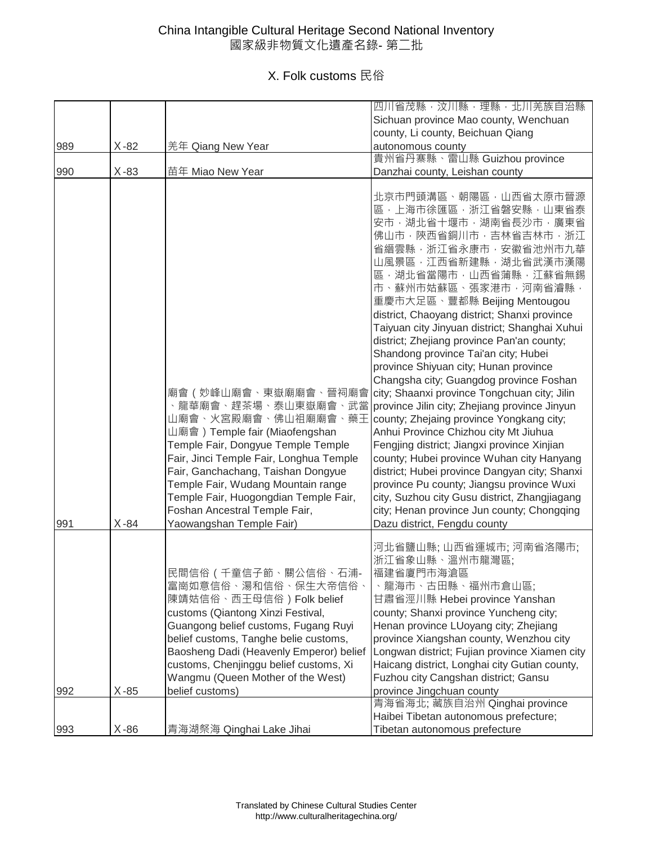|     |          |                                                                                                                                                                                                                                                                                                                                                                         | 四川省茂縣,汶川縣,理縣,北川羌族自治縣                                                                                                                                                                                                                                                                                                                                                                                                                                                                                                                                                                                                                                                                                                                                                                                                                                                                                                                                                                                                   |
|-----|----------|-------------------------------------------------------------------------------------------------------------------------------------------------------------------------------------------------------------------------------------------------------------------------------------------------------------------------------------------------------------------------|------------------------------------------------------------------------------------------------------------------------------------------------------------------------------------------------------------------------------------------------------------------------------------------------------------------------------------------------------------------------------------------------------------------------------------------------------------------------------------------------------------------------------------------------------------------------------------------------------------------------------------------------------------------------------------------------------------------------------------------------------------------------------------------------------------------------------------------------------------------------------------------------------------------------------------------------------------------------------------------------------------------------|
|     |          |                                                                                                                                                                                                                                                                                                                                                                         | Sichuan province Mao county, Wenchuan                                                                                                                                                                                                                                                                                                                                                                                                                                                                                                                                                                                                                                                                                                                                                                                                                                                                                                                                                                                  |
|     |          |                                                                                                                                                                                                                                                                                                                                                                         | county, Li county, Beichuan Qiang                                                                                                                                                                                                                                                                                                                                                                                                                                                                                                                                                                                                                                                                                                                                                                                                                                                                                                                                                                                      |
| 989 | $X-82$   | 羌年 Qiang New Year                                                                                                                                                                                                                                                                                                                                                       | autonomous county                                                                                                                                                                                                                                                                                                                                                                                                                                                                                                                                                                                                                                                                                                                                                                                                                                                                                                                                                                                                      |
|     |          |                                                                                                                                                                                                                                                                                                                                                                         | 貴州省丹寨縣、雷山縣 Guizhou province                                                                                                                                                                                                                                                                                                                                                                                                                                                                                                                                                                                                                                                                                                                                                                                                                                                                                                                                                                                            |
| 990 | $X-83$   | 苗年 Miao New Year                                                                                                                                                                                                                                                                                                                                                        | Danzhai county, Leishan county                                                                                                                                                                                                                                                                                                                                                                                                                                                                                                                                                                                                                                                                                                                                                                                                                                                                                                                                                                                         |
| 991 | $X - 84$ | 廟會 (妙峰山廟會、東嶽廟廟會、晉祠廟會<br>、龍華廟會、趕茶場、泰山東嶽廟會、武當<br>山廟會、火宮殿廟會、佛山祖廟廟會、藥王<br>山廟會) Temple fair (Miaofengshan<br>Temple Fair, Dongyue Temple Temple<br>Fair, Jinci Temple Fair, Longhua Temple<br>Fair, Ganchachang, Taishan Dongyue<br>Temple Fair, Wudang Mountain range<br>Temple Fair, Huogongdian Temple Fair,<br>Foshan Ancestral Temple Fair,<br>Yaowangshan Temple Fair) | 北京市門頭溝區、朝陽區,山西省太原市晉源<br>區,上海市徐匯區,浙江省磐安縣,山東省泰<br>安市,湖北省十堰市,湖南省長沙市,廣東省<br>佛山市,陝西省銅川市,吉林省吉林市,浙江<br>省縉雲縣,浙江省永康市,安徽省池州市九華<br>山風景區,江西省新建縣,湖北省武漢市漢陽<br>區,湖北省當陽市,山西省蒲縣,江蘇省無錫<br>市、蘇州市姑蘇區、張家港市,河南省濬縣,<br>重慶市大足區、豐都縣 Beijing Mentougou<br>district, Chaoyang district; Shanxi province<br>Taiyuan city Jinyuan district; Shanghai Xuhui<br>district; Zhejiang province Pan'an county;<br>Shandong province Tai'an city; Hubei<br>province Shiyuan city; Hunan province<br>Changsha city; Guangdog province Foshan<br>city; Shaanxi province Tongchuan city; Jilin<br>province Jilin city; Zhejiang province Jinyun<br>county; Zhejaing province Yongkang city;<br>Anhui Province Chizhou city Mt Jiuhua<br>Fengjing district; Jiangxi province Xinjian<br>county; Hubei province Wuhan city Hanyang<br>district; Hubei province Dangyan city; Shanxi<br>province Pu county; Jiangsu province Wuxi<br>city, Suzhou city Gusu district, Zhangjiagang<br>city; Henan province Jun county; Chongqing<br>Dazu district, Fengdu county |
| 992 | $X-85$   | 民間信俗 ( 千童信子節、關公信俗、石浦-<br>富崗如意信俗、湯和信俗、保生大帝信俗、<br>陳靖姑信俗、西王母信俗) Folk belief<br>customs (Qiantong Xinzi Festival,<br>Guangong belief customs, Fugang Ruyi<br>belief customs, Tanghe belie customs,<br>Baosheng Dadi (Heavenly Emperor) belief<br>customs, Chenjinggu belief customs, Xi<br>Wangmu (Queen Mother of the West)<br>belief customs)                             | 河北省鹽山縣;山西省運城市;河南省洛陽市;<br>浙江省象山縣、溫州市龍灣區;<br>福建省廈門市海滄區<br>、龍海市、古田縣、福州市倉山區;<br>甘肅省涇川縣 Hebei province Yanshan<br>county; Shanxi province Yuncheng city;<br>Henan province LUoyang city; Zhejiang<br>province Xiangshan county, Wenzhou city<br>Longwan district; Fujian province Xiamen city<br>Haicang district, Longhai city Gutian county,<br>Fuzhou city Cangshan district; Gansu<br>province Jingchuan county<br>青海省海北; 藏族自治州 Qinghai province                                                                                                                                                                                                                                                                                                                                                                                                                                                                                                                                                                        |
|     |          |                                                                                                                                                                                                                                                                                                                                                                         |                                                                                                                                                                                                                                                                                                                                                                                                                                                                                                                                                                                                                                                                                                                                                                                                                                                                                                                                                                                                                        |
|     |          |                                                                                                                                                                                                                                                                                                                                                                         | Haibei Tibetan autonomous prefecture;                                                                                                                                                                                                                                                                                                                                                                                                                                                                                                                                                                                                                                                                                                                                                                                                                                                                                                                                                                                  |
| 993 | $X-86$   | <u>青海湖祭海 Qinghai Lake Jihai</u>                                                                                                                                                                                                                                                                                                                                         | Tibetan autonomous prefecture                                                                                                                                                                                                                                                                                                                                                                                                                                                                                                                                                                                                                                                                                                                                                                                                                                                                                                                                                                                          |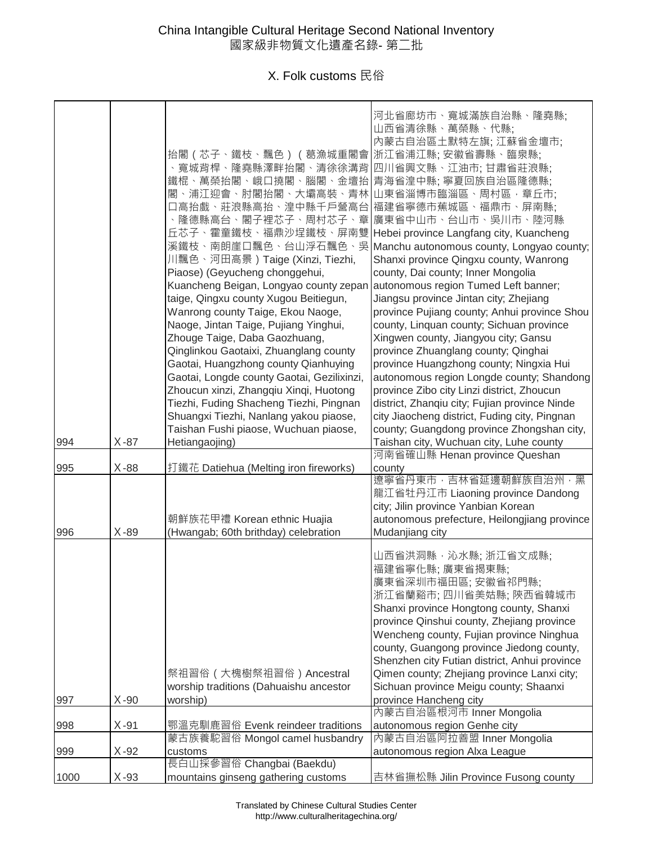| 994  | $X-87$ | 抬閣 (芯子、鐵枝、飄色) (葛漁城重閣會<br>、寬城背桿、隆堯縣澤畔抬閣、清徐徐溝背<br>鐵棍、萬榮抬閣、峨口撓閣、腦閣、<br>金壇抬<br>閣、浦江迎會、肘閣抬閣、大壩高裝<br>、青林<br>口高抬戲、莊浪縣高抬、湟中縣千戶營高台<br>、隆德縣高台、閣子裡芯子、周村芯子、<br>章<br>丘芯子、霍童鐵枝、福鼎沙埕鐵枝、屏南雙<br>溪鐵枝、南朗崖口飄色、台山浮石飄色、吳<br>川飄色、河田高景)Taige (Xinzi, Tiezhi,<br>Piaose) (Geyucheng chonggehui,<br>Kuancheng Beigan, Longyao county zepan<br>taige, Qingxu county Xugou Beitiegun,<br>Wanrong county Taige, Ekou Naoge,<br>Naoge, Jintan Taige, Pujiang Yinghui,<br>Zhouge Taige, Daba Gaozhuang,<br>Qinglinkou Gaotaixi, Zhuanglang county<br>Gaotai, Huangzhong county Qianhuying<br>Gaotai, Longde county Gaotai, Gezilixinzi,<br>Zhoucun xinzi, Zhangqiu Xinqi, Huotong<br>Tiezhi, Fuding Shacheng Tiezhi, Pingnan<br>Shuangxi Tiezhi, Nanlang yakou piaose,<br>Taishan Fushi piaose, Wuchuan piaose,<br>Hetiangaojing) | 河北省廊坊市、寬城滿族自治縣、隆堯縣;<br>山西省清徐縣、萬榮縣、代縣;<br>內蒙古自治區土默特左旗;江蘇省金壇市;<br>浙江省浦江縣; 安徽省壽縣、臨泉縣;<br>四川省興文縣、江油市; 甘肅省莊浪縣;<br>青海省湟中縣;寧夏回族自治區隆德縣;<br>山東省淄博市臨淄區、周村區, 章丘市;<br>福建省寧德市蕉城區、福鼎市、屏南縣;<br>廣東省中山市、台山市、吳川市、陸河縣<br>Hebei province Langfang city, Kuancheng<br>Manchu autonomous county, Longyao county;<br>Shanxi province Qingxu county, Wanrong<br>county, Dai county; Inner Mongolia<br>autonomous region Tumed Left banner;<br>Jiangsu province Jintan city; Zhejiang<br>province Pujiang county; Anhui province Shou<br>county, Linquan county; Sichuan province<br>Xingwen county, Jiangyou city; Gansu<br>province Zhuanglang county; Qinghai<br>province Huangzhong county; Ningxia Hui<br>autonomous region Longde county; Shandong<br>province Zibo city Linzi district, Zhoucun<br>district, Zhanqiu city; Fujian province Ninde<br>city Jiaocheng district, Fuding city, Pingnan<br>county; Guangdong province Zhongshan city,<br>Taishan city, Wuchuan city, Luhe county |
|------|--------|----------------------------------------------------------------------------------------------------------------------------------------------------------------------------------------------------------------------------------------------------------------------------------------------------------------------------------------------------------------------------------------------------------------------------------------------------------------------------------------------------------------------------------------------------------------------------------------------------------------------------------------------------------------------------------------------------------------------------------------------------------------------------------------------------|--------------------------------------------------------------------------------------------------------------------------------------------------------------------------------------------------------------------------------------------------------------------------------------------------------------------------------------------------------------------------------------------------------------------------------------------------------------------------------------------------------------------------------------------------------------------------------------------------------------------------------------------------------------------------------------------------------------------------------------------------------------------------------------------------------------------------------------------------------------------------------------------------------------------------------------------------------------------------|
| 995  | $X-88$ | 打鐵花 Datiehua (Melting iron fireworks)                                                                                                                                                                                                                                                                                                                                                                                                                                                                                                                                                                                                                                                                                                                                                              | 河南省確山縣 Henan province Queshan                                                                                                                                                                                                                                                                                                                                                                                                                                                                                                                                                                                                                                                                                                                                                                                                                                                                                                                                            |
| 996  | $X-89$ | 朝鮮族花甲禮 Korean ethnic Huajia<br>(Hwangab; 60th brithday) celebration                                                                                                                                                                                                                                                                                                                                                                                                                                                                                                                                                                                                                                                                                                                                | county<br>遼寧省丹東市,吉林省延邊朝鮮族自治州,黑<br>龍江省牡丹江市 Liaoning province Dandong<br>city; Jilin province Yanbian Korean<br>autonomous prefecture, Heilongjiang province<br>Mudanjiang city                                                                                                                                                                                                                                                                                                                                                                                                                                                                                                                                                                                                                                                                                                                                                                                            |
| 997  | $X-90$ | 祭祖習俗 (大槐樹祭祖習俗) Ancestral<br>worship traditions (Dahuaishu ancestor<br>worship)                                                                                                                                                                                                                                                                                                                                                                                                                                                                                                                                                                                                                                                                                                                     | 山西省洪洞縣,沁水縣;浙江省文成縣;<br>福建省寧化縣;廣東省揭東縣;<br>廣東省深圳市福田區; 安徽省祁門縣;<br>浙江省蘭谿市; 四川省美姑縣; 陝西省韓城市<br>Shanxi province Hongtong county, Shanxi<br>province Qinshui county, Zhejiang province<br>Wencheng county, Fujian province Ninghua<br>county, Guangong province Jiedong county,<br>Shenzhen city Futian district, Anhui province<br>Qimen county; Zhejiang province Lanxi city;<br>Sichuan province Meigu county; Shaanxi<br>province Hancheng city                                                                                                                                                                                                                                                                                                                                                                                                                                                                                                                               |
|      |        |                                                                                                                                                                                                                                                                                                                                                                                                                                                                                                                                                                                                                                                                                                                                                                                                    | 內蒙古自治區根河市 Inner Mongolia                                                                                                                                                                                                                                                                                                                                                                                                                                                                                                                                                                                                                                                                                                                                                                                                                                                                                                                                                 |
| 998  | $X-91$ | 鄂溫克馴鹿習俗 Evenk reindeer traditions<br>蒙古族養駝習俗 Mongol camel husbandry                                                                                                                                                                                                                                                                                                                                                                                                                                                                                                                                                                                                                                                                                                                                | autonomous region Genhe city<br>內蒙古自治區阿拉善盟 Inner Mongolia                                                                                                                                                                                                                                                                                                                                                                                                                                                                                                                                                                                                                                                                                                                                                                                                                                                                                                                |
| 999  | $X-92$ | customs                                                                                                                                                                                                                                                                                                                                                                                                                                                                                                                                                                                                                                                                                                                                                                                            | autonomous region Alxa League                                                                                                                                                                                                                                                                                                                                                                                                                                                                                                                                                                                                                                                                                                                                                                                                                                                                                                                                            |
| 1000 | $X-93$ | 長白山採參習俗 Changbai (Baekdu)<br>mountains ginseng gathering customs                                                                                                                                                                                                                                                                                                                                                                                                                                                                                                                                                                                                                                                                                                                                   | 吉林省撫松縣 Jilin Province Fusong county                                                                                                                                                                                                                                                                                                                                                                                                                                                                                                                                                                                                                                                                                                                                                                                                                                                                                                                                      |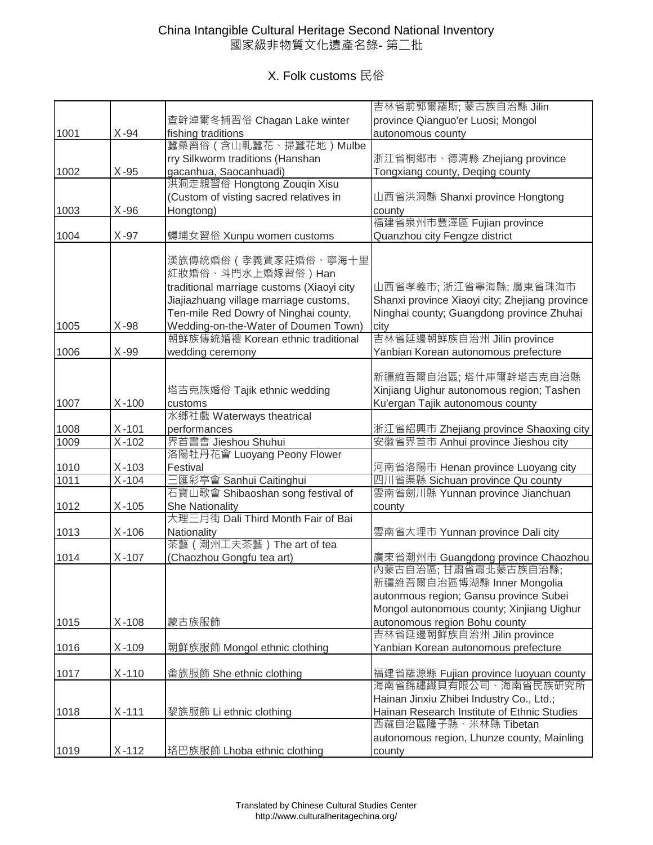|      |           |                                           | 吉林省前郭爾羅斯; 蒙古族自治縣 Jilin                                                              |
|------|-----------|-------------------------------------------|-------------------------------------------------------------------------------------|
|      |           | 查幹淖爾冬捕習俗 Chagan Lake winter               | province Qianguo'er Luosi; Mongol                                                   |
| 1001 | $X - 94$  | fishing traditions                        | autonomous county                                                                   |
|      |           | 蠶桑習俗 (含山軋蠶花、掃蠶花地) Mulbe                   |                                                                                     |
|      |           | rry Silkworm traditions (Hanshan          | 浙江省桐鄉市、德清縣 Zhejiang province                                                        |
| 1002 | $X-95$    | gacanhua, Saocanhuadi)                    | Tongxiang county, Deqing county                                                     |
|      |           | 洪洞走親習俗 Hongtong Zouqin Xisu               |                                                                                     |
|      |           | (Custom of visting sacred relatives in    | 山西省洪洞縣 Shanxi province Hongtong                                                     |
| 1003 | $X-96$    | Hongtong)                                 | county                                                                              |
|      |           |                                           | 福建省泉州市豐澤區 Fujian province                                                           |
| 1004 | $X-97$    | 蟳埔女習俗 Xunpu women customs                 | Quanzhou city Fengze district                                                       |
|      |           |                                           |                                                                                     |
|      |           | 漢族傳統婚俗 (孝義賈家莊婚俗、寧海十里                      |                                                                                     |
|      |           | 紅妝婚俗、斗門水上婚嫁習俗)Han                         |                                                                                     |
|      |           | traditional marriage customs (Xiaoyi city | 山西省孝義市; 浙江省寧海縣; 廣東省珠海市                                                              |
|      |           | Jiajiazhuang village marriage customs,    | Shanxi province Xiaoyi city; Zhejiang province                                      |
|      |           | Ten-mile Red Dowry of Ninghai county,     | Ninghai county; Guangdong province Zhuhai                                           |
| 1005 | X-98      | Wedding-on-the-Water of Doumen Town)      | city                                                                                |
|      |           | 朝鮮族傳統婚禮 Korean ethnic traditional         | 吉林省延邊朝鮮族自治州 Jilin province                                                          |
| 1006 | $X-99$    | wedding ceremony                          | Yanbian Korean autonomous prefecture                                                |
|      |           |                                           |                                                                                     |
|      |           |                                           | 新疆維吾爾自治區; 塔什庫爾幹塔吉克自治縣                                                               |
|      |           | 塔吉克族婚俗 Tajik ethnic wedding               | Xinjiang Uighur autonomous region; Tashen                                           |
| 1007 | $X-100$   | customs                                   | Ku'ergan Tajik autonomous county                                                    |
|      |           | 水鄉社戲 Waterways theatrical                 |                                                                                     |
| 1008 | $X-101$   | performances                              | 浙江省紹興市 Zhejiang province Shaoxing city                                              |
| 1009 | $X-102$   | 界首書會 Jieshou Shuhui                       | 安徽省界首市 Anhui province Jieshou city                                                  |
|      |           | 洛陽牡丹花會 Luoyang Peony Flower               |                                                                                     |
| 1010 | $X-103$   | Festival                                  | 河南省洛陽市 Henan province Luoyang city                                                  |
| 1011 | $X-104$   | 三匯彩亭會 Sanhui Caitinghui                   | 四川省渠縣 Sichuan province Qu county                                                    |
|      |           | 石寶山歌會 Shibaoshan song festival of         | 雲南省劍川縣 Yunnan province Jianchuan                                                    |
| 1012 | $X-105$   | <b>She Nationality</b>                    |                                                                                     |
|      |           | 大理三月街 Dali Third Month Fair of Bai        | county                                                                              |
| 1013 | $X-106$   | Nationality                               | 雲南省大理市 Yunnan province Dali city                                                    |
|      |           | 茶藝 (潮州工夫茶藝) The art of tea                |                                                                                     |
| 1014 | $X - 107$ | (Chaozhou Gongfu tea art)                 | 廣東省潮州市 Guangdong province Chaozhou                                                  |
|      |           |                                           | 內蒙古自治區;甘肅省肅北蒙古族自治縣;                                                                 |
|      |           |                                           | 新疆維吾爾自治區博湖縣 Inner Mongolia                                                          |
|      |           |                                           |                                                                                     |
|      |           |                                           | autonmous region; Gansu province Subei<br>Mongol autonomous county; Xinjiang Uighur |
|      |           |                                           |                                                                                     |
| 1015 | $X-108$   | 蒙古族服飾                                     | autonomous region Bohu county                                                       |
|      |           |                                           | 吉林省延邊朝鮮族自治州 Jilin province                                                          |
| 1016 | $X-109$   | 朝鮮族服飾 Mongol ethnic clothing              | Yanbian Korean autonomous prefecture                                                |
|      |           |                                           |                                                                                     |
| 1017 | $X - 110$ | 畲族服飾 She ethnic clothing                  | 福建省羅源縣 Fujian province luoyuan county                                               |
|      |           |                                           | 海南省錦繡織貝有限公司、海南省民族研究所                                                                |
|      |           |                                           | Hainan Jinxiu Zhibei Industry Co., Ltd.;                                            |
| 1018 | $X - 111$ | 黎族服飾 Li ethnic clothing                   | Hainan Research Institute of Ethnic Studies                                         |
|      |           |                                           | 西藏自治區隆子縣、米林縣 Tibetan                                                                |
|      |           |                                           | autonomous region, Lhunze county, Mainling                                          |
| 1019 | $X - 112$ | 珞巴族服飾 Lhoba ethnic clothing               | county                                                                              |